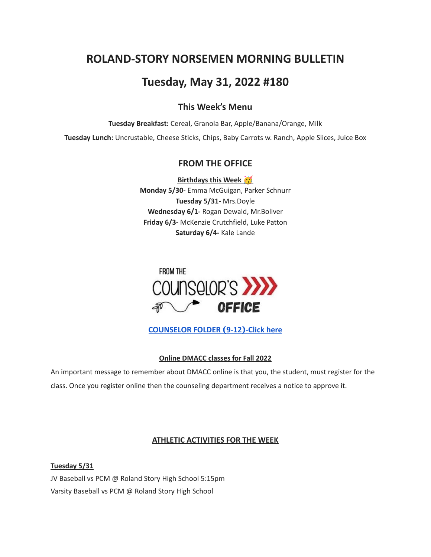# **ROLAND-STORY NORSEMEN MORNING BULLETIN**

## **Tuesday, May 31, 2022 #180**

### **This Week's Menu**

**Tuesday Breakfast:** Cereal, Granola Bar, Apple/Banana/Orange, Milk

**Tuesday Lunch:** Uncrustable, Cheese Sticks, Chips, Baby Carrots w. Ranch, Apple Slices, Juice Box

## **FROM THE OFFICE**

**Birthdays this Week Monday 5/30-** Emma McGuigan, Parker Schnurr **Tuesday 5/31-** Mrs.Doyle **Wednesday 6/1-** Rogan Dewald, Mr.Boliver **Friday 6/3-** McKenzie Crutchfield, Luke Patton **Saturday 6/4-** Kale Lande



**[COUNSELOR FOLDER](https://docs.google.com/document/d/1vmwczNPbDzXe9vFaG5LJMQ7NYDv-i4oQJHybqA65TUc/edit?usp=sharing) (9-12)-Click here**

### **Online DMACC classes for Fall 2022**

An important message to remember about DMACC online is that you, the student, must register for the class. Once you register online then the counseling department receives a notice to approve it.

#### **ATHLETIC ACTIVITIES FOR THE WEEK**

**Tuesday 5/31** JV Baseball vs PCM @ Roland Story High School 5:15pm Varsity Baseball vs PCM @ Roland Story High School